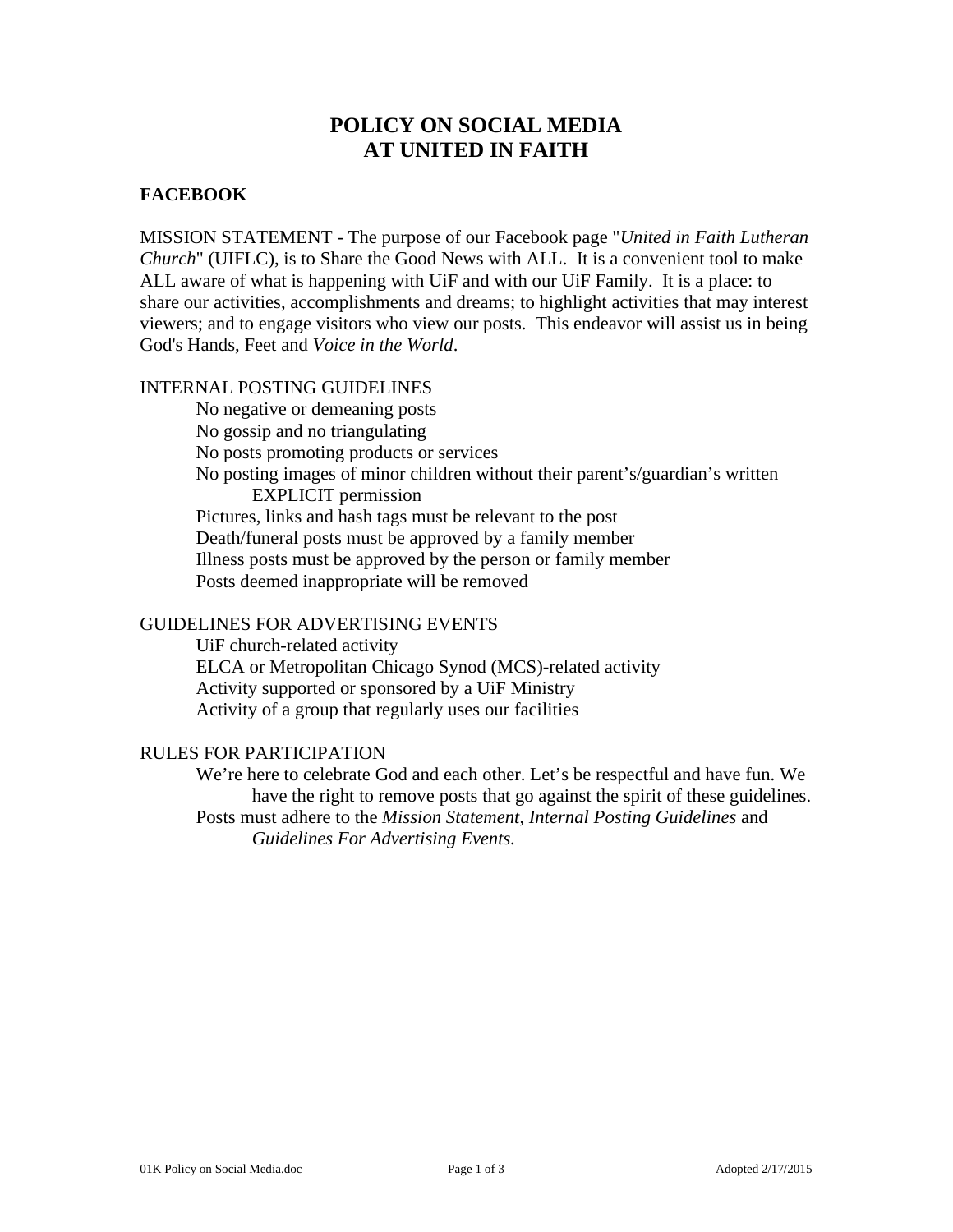# **POLICY ON SOCIAL MEDIA AT UNITED IN FAITH**

# **FACEBOOK**

MISSION STATEMENT - The purpose of our Facebook page "*United in Faith Lutheran Church*" (UIFLC), is to Share the Good News with ALL. It is a convenient tool to make ALL aware of what is happening with UiF and with our UiF Family. It is a place: to share our activities, accomplishments and dreams; to highlight activities that may interest viewers; and to engage visitors who view our posts. This endeavor will assist us in being God's Hands, Feet and *Voice in the World*.

## INTERNAL POSTING GUIDELINES

No negative or demeaning posts No gossip and no triangulating No posts promoting products or services No posting images of minor children without their parent's/guardian's written EXPLICIT permission Pictures, links and hash tags must be relevant to the post Death/funeral posts must be approved by a family member Illness posts must be approved by the person or family member Posts deemed inappropriate will be removed

## GUIDELINES FOR ADVERTISING EVENTS

UiF church-related activity ELCA or Metropolitan Chicago Synod (MCS)-related activity Activity supported or sponsored by a UiF Ministry Activity of a group that regularly uses our facilities

#### RULES FOR PARTICIPATION

We're here to celebrate God and each other. Let's be respectful and have fun. We have the right to remove posts that go against the spirit of these guidelines. Posts must adhere to the *Mission Statement*, *Internal Posting Guidelines* and *Guidelines For Advertising Events.*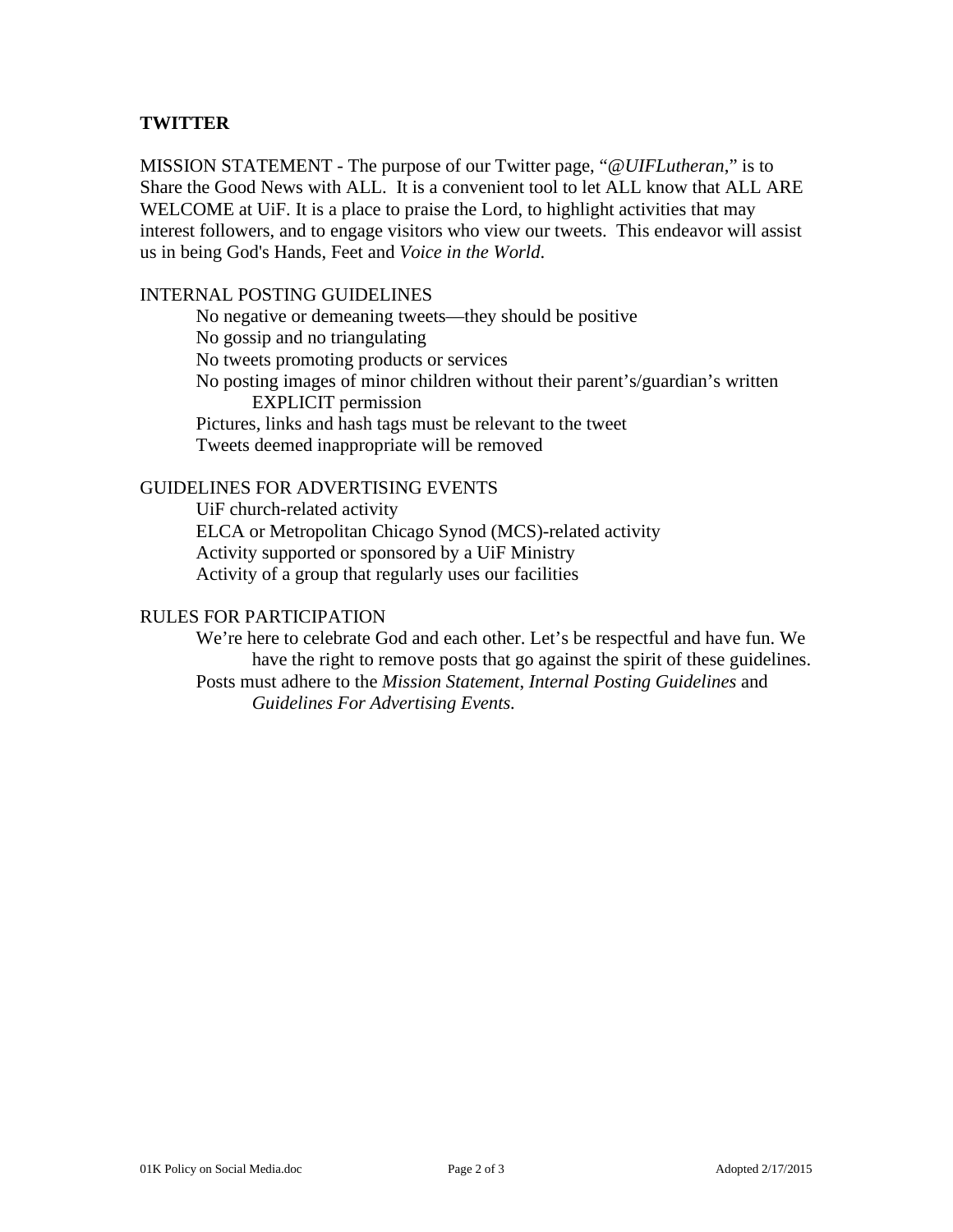## **TWITTER**

MISSION STATEMENT - The purpose of our Twitter page, "*@UIFLutheran*," is to Share the Good News with ALL. It is a convenient tool to let ALL know that ALL ARE WELCOME at UiF. It is a place to praise the Lord, to highlight activities that may interest followers, and to engage visitors who view our tweets. This endeavor will assist us in being God's Hands, Feet and *Voice in the World*.

## INTERNAL POSTING GUIDELINES

No negative or demeaning tweets—they should be positive No gossip and no triangulating No tweets promoting products or services No posting images of minor children without their parent's/guardian's written EXPLICIT permission Pictures, links and hash tags must be relevant to the tweet Tweets deemed inappropriate will be removed

## GUIDELINES FOR ADVERTISING EVENTS

UiF church-related activity ELCA or Metropolitan Chicago Synod (MCS)-related activity Activity supported or sponsored by a UiF Ministry Activity of a group that regularly uses our facilities

#### RULES FOR PARTICIPATION

We're here to celebrate God and each other. Let's be respectful and have fun. We have the right to remove posts that go against the spirit of these guidelines. Posts must adhere to the *Mission Statement*, *Internal Posting Guidelines* and *Guidelines For Advertising Events.*